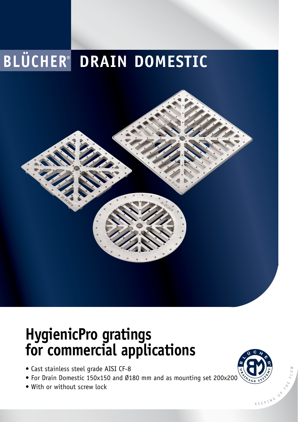## **BLÜCHER<sup>®</sup> DRAIN DOMESTIC**

## **HygienicPro gratings for commercial applications**

- Cast stainless steel grade AISI CF-8
- For Drain Domestic 150x150 and Ø180 mm and as mounting set 200x200
- With or without screw lock